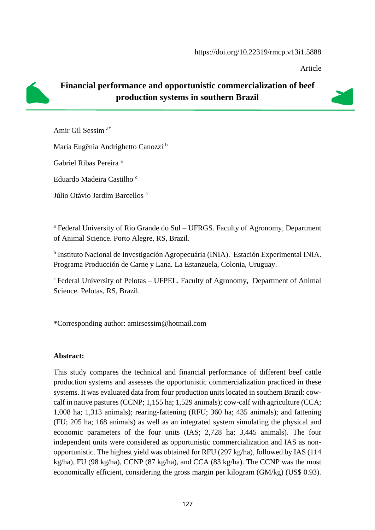Article

## **Financial performance and opportunistic commercialization of beef production systems in southern Brazil**

Amir Gil Sessim a\*

Maria Eugênia Andrighetto Canozzi <sup>b</sup>

Gabriel Ribas Pereira <sup>a</sup>

Eduardo Madeira Castilho<sup>c</sup>

Júlio Otávio Jardim Barcellos<sup>a</sup>

<sup>a</sup> Federal University of Rio Grande do Sul – UFRGS. Faculty of Agronomy, Department of Animal Science. Porto Alegre, RS, Brazil.

<sup>b</sup> Instituto Nacional de Investigación Agropecuária (INIA). Estación Experimental INIA. Programa Producción de Carne y Lana. La Estanzuela, Colonia, Uruguay.

 $c$ Federal University of Pelotas – UFPEL. Faculty of Agronomy, Department of Animal Science. Pelotas, RS, Brazil.

\*Corresponding author: [amirsessim@hotmail.com](mailto:amirsessim@hotmail.com)

#### **Abstract:**

This study compares the technical and financial performance of different beef cattle production systems and assesses the opportunistic commercialization practiced in these systems. It was evaluated data from four production units located in southern Brazil: cowcalf in native pastures (CCNP; 1,155 ha; 1,529 animals); cow-calf with agriculture (CCA; 1,008 ha; 1,313 animals); rearing-fattening (RFU; 360 ha; 435 animals); and fattening (FU; 205 ha; 168 animals) as well as an integrated system simulating the physical and economic parameters of the four units (IAS; 2,728 ha; 3,445 animals). The four independent units were considered as opportunistic commercialization and IAS as nonopportunistic. The highest yield was obtained for RFU (297 kg/ha), followed by IAS (114 kg/ha), FU (98 kg/ha), CCNP (87 kg/ha), and CCA (83 kg/ha). The CCNP was the most economically efficient, considering the gross margin per kilogram (GM/kg) (US\$ 0.93).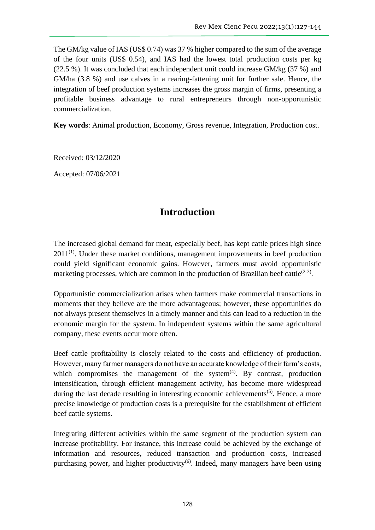The GM/kg value of IAS (US\$ 0.74) was 37 % higher compared to the sum of the average of the four units (US\$ 0.54), and IAS had the lowest total production costs per kg (22.5 %). It was concluded that each independent unit could increase GM/kg (37 %) and GM/ha (3.8 %) and use calves in a rearing-fattening unit for further sale. Hence, the integration of beef production systems increases the gross margin of firms, presenting a profitable business advantage to rural entrepreneurs through non-opportunistic commercialization.

**Key words**: Animal production, Economy, Gross revenue, Integration, Production cost.

Received: 03/12/2020

Accepted: 07/06/2021

## **Introduction**

The increased global demand for meat, especially beef, has kept cattle prices high since  $2011^{(1)}$ . Under these market conditions, management improvements in beef production could yield significant economic gains. However, farmers must avoid opportunistic marketing processes, which are common in the production of Brazilian beef cattle $(2-3)$ .

Opportunistic commercialization arises when farmers make commercial transactions in moments that they believe are the more advantageous; however, these opportunities do not always present themselves in a timely manner and this can lead to a reduction in the economic margin for the system. In independent systems within the same agricultural company, these events occur more often.

Beef cattle profitability is closely related to the costs and efficiency of production. However, many farmer managers do not have an accurate knowledge of their farm's costs, which compromises the management of the system $<sup>(4)</sup>$ . By contrast, production</sup> intensification, through efficient management activity, has become more widespread during the last decade resulting in interesting economic achievements<sup> $(5)$ </sup>. Hence, a more precise knowledge of production costs is a prerequisite for the establishment of efficient beef cattle systems.

Integrating different activities within the same segment of the production system can increase profitability. For instance, this increase could be achieved by the exchange of information and resources, reduced transaction and production costs, increased purchasing power, and higher productivity<sup>(6)</sup>. Indeed, many managers have been using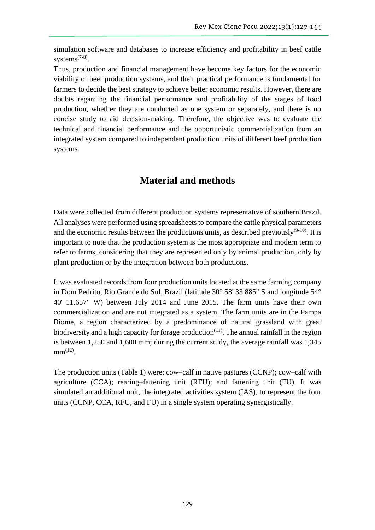simulation software and databases to increase efficiency and profitability in beef cattle systems $(7-8)$ .

Thus, production and financial management have become key factors for the economic viability of beef production systems, and their practical performance is fundamental for farmers to decide the best strategy to achieve better economic results. However, there are doubts regarding the financial performance and profitability of the stages of food production, whether they are conducted as one system or separately, and there is no concise study to aid decision-making. Therefore, the objective was to evaluate the technical and financial performance and the opportunistic commercialization from an integrated system compared to independent production units of different beef production systems.

# **Material and methods**

Data were collected from different production systems representative of southern Brazil. All analyses were performed using spreadsheets to compare the cattle physical parameters and the economic results between the productions units, as described previously $(9-10)$ . It is important to note that the production system is the most appropriate and modern term to refer to farms, considering that they are represented only by animal production, only by plant production or by the integration between both productions.

It was evaluated records from four production units located at the same farming company in Dom Pedrito, Rio Grande do Sul, Brazil (latitude 30° 58' 33.885" S and longitude 54° 40' 11.657" W) between July 2014 and June 2015. The farm units have their own commercialization and are not integrated as a system. The farm units are in the Pampa Biome, a region characterized by a predominance of natural grassland with great biodiversity and a high capacity for forage production<sup> $(11)$ </sup>. The annual rainfall in the region is between 1,250 and 1,600 mm; during the current study, the average rainfall was 1,345  $mm^{(12)}$ .

The production units (Table 1) were: cow–calf in native pastures (CCNP); cow–calf with agriculture (CCA); rearing–fattening unit (RFU); and fattening unit (FU). It was simulated an additional unit, the integrated activities system (IAS), to represent the four units (CCNP, CCA, RFU, and FU) in a single system operating synergistically.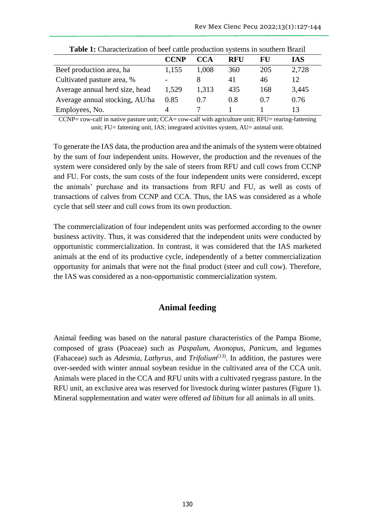| <b>Table 1.</b> Characterization of beer cattle production systems in southern Drazin |             |       |            |     |       |  |  |  |  |
|---------------------------------------------------------------------------------------|-------------|-------|------------|-----|-------|--|--|--|--|
|                                                                                       | <b>CCNP</b> | CCA   | <b>RFU</b> | FU  | IAS   |  |  |  |  |
| Beef production area, ha                                                              | 1,155       | 1,008 | 360        | 205 | 2,728 |  |  |  |  |
| Cultivated pasture area, %                                                            |             | 8     | 41         | 46  | 12    |  |  |  |  |
| Average annual herd size, head                                                        | 1,529       | 1,313 | 435        | 168 | 3,445 |  |  |  |  |
| Average annual stocking, AU/ha                                                        | 0.85        | 0.7   | 0.8        | 0.7 | 0.76  |  |  |  |  |
| Employees, No.                                                                        |             |       |            |     | 13    |  |  |  |  |

| Table 1: Characterization of beef cattle production systems in southern Brazil |  |
|--------------------------------------------------------------------------------|--|
|--------------------------------------------------------------------------------|--|

CCNP= cow-calf in native pasture unit; CCA= cow-calf with agriculture unit; RFU= rearing-fattening unit; FU= fattening unit, IAS; integrated activities system, AU= animal unit.

To generate the IAS data, the production area and the animals of the system were obtained by the sum of four independent units. However, the production and the revenues of the system were considered only by the sale of steers from RFU and cull cows from CCNP and FU. For costs, the sum costs of the four independent units were considered, except the animals' purchase and its transactions from RFU and FU, as well as costs of transactions of calves from CCNP and CCA. Thus, the IAS was considered as a whole cycle that sell steer and cull cows from its own production.

The commercialization of four independent units was performed according to the owner business activity. Thus, it was considered that the independent units were conducted by opportunistic commercialization. In contrast, it was considered that the IAS marketed animals at the end of its productive cycle, independently of a better commercialization opportunity for animals that were not the final product (steer and cull cow). Therefore, the IAS was considered as a non-opportunistic commercialization system.

#### **Animal feeding**

Animal feeding was based on the natural pasture characteristics of the Pampa Biome, composed of grass (Poaceae) such as *Paspalum*, *Axonopus*, *Panicum*, and legumes (Fabaceae) such as *Adesmia*, *Lathyrus,* and *Trifolium*(13) . In addition, the pastures were over-seeded with winter annual soybean residue in the cultivated area of the CCA unit. Animals were placed in the CCA and RFU units with a cultivated ryegrass pasture. In the RFU unit, an exclusive area was reserved for livestock during winter pastures (Figure 1). Mineral supplementation and water were offered *ad libitum* for all animals in all units.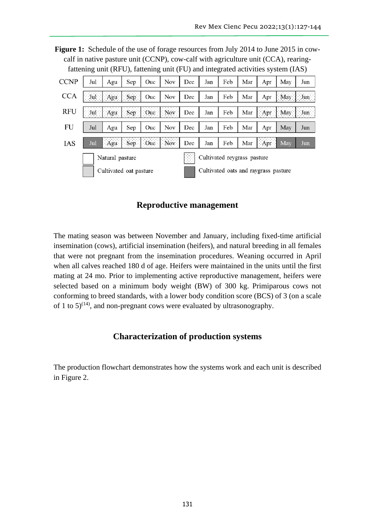Figure 1: Schedule of the use of forage resources from July 2014 to June 2015 in cowcalf in native pasture unit (CCNP), cow-calf with agriculture unit (CCA), rearingfattening unit (RFU), fattening unit (FU) and integrated activities system (IAS)

| <b>CCNP</b> | Jul                    | Agu             | Sep  | Ouc         | Nov | Dec                                  | Jan                         | Feb | Mar | Apr               | May | Jun          |
|-------------|------------------------|-----------------|------|-------------|-----|--------------------------------------|-----------------------------|-----|-----|-------------------|-----|--------------|
| <b>CCA</b>  | $ $ Jul $ $ Agu        |                 | Sep  | Ouc         | Nov | Dec                                  | Jan                         | Feb | Mar | Apr               | May | $\text{Jun}$ |
| <b>RFU</b>  |                        | Agu             | Sep. | Ouc         | Nov | Dec                                  | Jan                         | Feb | Mar | $\Box$ Apr $\Box$ | May | Jun          |
| FU          | Jul                    | Agu             | Sep  | Ouc         | Nov | Dec                                  | Jan                         | Feb | Mar | Apr               | May | Jun          |
| IAS         | Jul                    | Agu             |      | Sep Oue Nov |     | Dec                                  | Jan                         | Feb | Mar | Apr               | May | Jun          |
|             |                        | Natural pasture |      |             |     | $\cdots$<br>$\cdots$<br>.<br>atan i  | Cultivated reygrass pasture |     |     |                   |     |              |
|             | Cultivated oat pasture |                 |      |             |     | Cultivated oats and raygrass pasture |                             |     |     |                   |     |              |

**Reproductive management**

The mating season was between November and January, including fixed-time artificial insemination (cows), artificial insemination (heifers), and natural breeding in all females that were not pregnant from the insemination procedures. Weaning occurred in April when all calves reached 180 d of age. Heifers were maintained in the units until the first mating at 24 mo. Prior to implementing active reproductive management, heifers were selected based on a minimum body weight (BW) of 300 kg. Primiparous cows not conforming to breed standards, with a lower body condition score (BCS) of 3 (on a scale of 1 to  $5)^{(14)}$ , and non-pregnant cows were evaluated by ultrasonography.

### **Characterization of production systems**

The production flowchart demonstrates how the systems work and each unit is described in Figure 2.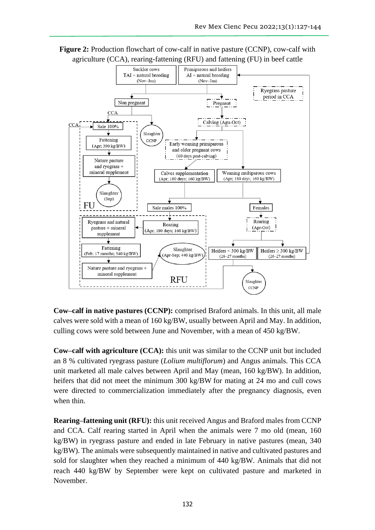

**Figure 2:** Production flowchart of cow-calf in native pasture (CCNP), cow-calf with agriculture (CCA), rearing-fattening (RFU) and fattening (FU) in beef cattle

**Cow–calf in native pastures (CCNP):** comprised Braford animals. In this unit, all male calves were sold with a mean of  $160 \text{ kg/BW}$ , usually between April and May. In addition, culling cows were sold between June and November, with a mean of 450 kg/BW.

**Cow–calf with agriculture (CCA):** this unit was similar to the CCNP unit but included an 8 % cultivated ryegrass pasture (*Lolium multiflorum*) and Angus animals. This CCA unit marketed all male calves between April and May (mean, 160 kg/BW). In addition, heifers that did not meet the minimum 300 kg/BW for mating at 24 mo and cull cows were directed to commercialization immediately after the pregnancy diagnosis, even when thin.

**Rearing–fattening unit (RFU):** this unit received Angus and Braford males from CCNP and CCA. Calf rearing started in April when the animals were 7 mo old (mean, 160 kg/BW) in ryegrass pasture and ended in late February in native pastures (mean, 340 kg/BW). The animals were subsequently maintained in native and cultivated pastures and sold for slaughter when they reached a minimum of 440 kg/BW. Animals that did not reach 440 kg/BW by September were kept on cultivated pasture and marketed in November.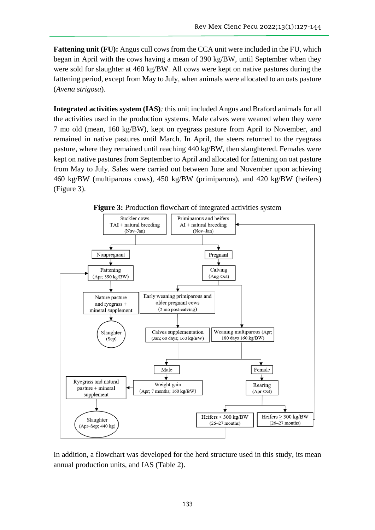**Fattening unit (FU):** Angus cull cows from the CCA unit were included in the FU, which began in April with the cows having a mean of 390 kg/BW, until September when they were sold for slaughter at 460 kg/BW. All cows were kept on native pastures during the fattening period, except from May to July, when animals were allocated to an oats pasture (*Avena strigosa*).

**Integrated activities system (IAS)***:* this unit included Angus and Braford animals for all the activities used in the production systems. Male calves were weaned when they were 7 mo old (mean, 160 kg/BW), kept on ryegrass pasture from April to November, and remained in native pastures until March. In April, the steers returned to the ryegrass pasture, where they remained until reaching 440 kg/BW, then slaughtered. Females were kept on native pastures from September to April and allocated for fattening on oat pasture from May to July. Sales were carried out between June and November upon achieving 460 kg/BW (multiparous cows), 450 kg/BW (primiparous), and 420 kg/BW (heifers) (Figure 3).





In addition, a flowchart was developed for the herd structure used in this study, its mean annual production units, and IAS (Table 2).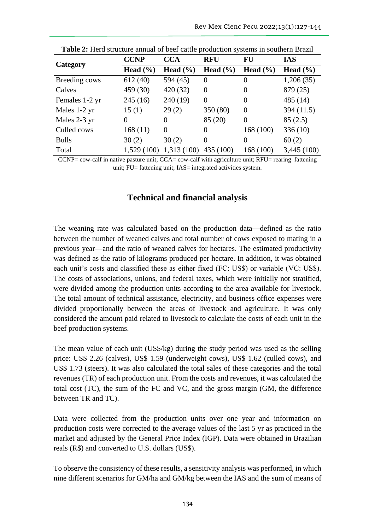|                | <b>CCNP</b>  | <b>CCA</b>   | <b>RFU</b>       | <b>FU</b>    | <b>IAS</b>   |  |
|----------------|--------------|--------------|------------------|--------------|--------------|--|
| Category       | Head $(\% )$ | Head $(\% )$ | Head $(\% )$     | Head $(\% )$ | Head $(\% )$ |  |
| Breeding cows  | 612(40)      | 594 (45)     | $\theta$         | $\theta$     | 1,206(35)    |  |
| Calves         | 459 (30)     | 420 (32)     | $\theta$         | 0            | 879 (25)     |  |
| Females 1-2 yr | 245(16)      | 240(19)      | $\boldsymbol{0}$ | 0            | 485 (14)     |  |
| Males 1-2 yr   | 15(1)        | 29(2)        | 350 (80)         | $\Omega$     | 394 (11.5)   |  |
| Males 2-3 yr   | 0            | 0            | 85 (20)          | $\theta$     | 85(2.5)      |  |
| Culled cows    | 168(11)      | $\Omega$     | 0                | 168 (100)    | 336(10)      |  |
| <b>Bulls</b>   | 30(2)        | 30(2)        | $\theta$         | $\theta$     | 60(2)        |  |
| Total          | 1,529 (100)  | 1,313 (100)  | 435 (100)        | 168 (100)    | 3,445(100)   |  |

**Table 2:** Herd structure annual of beef cattle production systems in southern Brazil

CCNP= cow-calf in native pasture unit; CCA= cow-calf with agriculture unit; RFU= rearing–fattening unit; FU= fattening unit; IAS= integrated activities system.

### **Technical and financial analysis**

The weaning rate was calculated based on the production data—defined as the ratio between the number of weaned calves and total number of cows exposed to mating in a previous year—and the ratio of weaned calves for hectares. The estimated productivity was defined as the ratio of kilograms produced per hectare. In addition, it was obtained each unit's costs and classified these as either fixed (FC: US\$) or variable (VC: US\$). The costs of associations, unions, and federal taxes, which were initially not stratified, were divided among the production units according to the area available for livestock. The total amount of technical assistance, electricity, and business office expenses were divided proportionally between the areas of livestock and agriculture. It was only considered the amount paid related to livestock to calculate the costs of each unit in the beef production systems.

The mean value of each unit (US\$/kg) during the study period was used as the selling price: US\$ 2.26 (calves), US\$ 1.59 (underweight cows), US\$ 1.62 (culled cows), and US\$ 1.73 (steers). It was also calculated the total sales of these categories and the total revenues (TR) of each production unit. From the costs and revenues, it was calculated the total cost (TC), the sum of the FC and VC, and the gross margin (GM, the difference between TR and TC).

Data were collected from the production units over one year and information on production costs were corrected to the average values of the last 5 yr as practiced in the market and adjusted by the General Price Index (IGP). Data were obtained in Brazilian reals (R\$) and converted to U.S. dollars (US\$).

To observe the consistency of these results, a sensitivity analysis was performed, in which nine different scenarios for GM/ha and GM/kg between the IAS and the sum of means of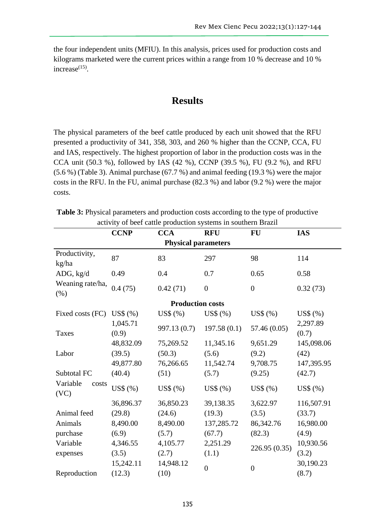the four independent units (MFIU). In this analysis, prices used for production costs and kilograms marketed were the current prices within a range from 10 % decrease and 10 % increase $^{(15)}$ .

## **Results**

The physical parameters of the beef cattle produced by each unit showed that the RFU presented a productivity of 341, 358, 303, and 260 % higher than the CCNP, CCA, FU and IAS, respectively. The highest proportion of labor in the production costs was in the CCA unit (50.3 %), followed by IAS (42 %), CCNP (39.5 %), FU (9.2 %), and RFU (5.6 %) (Table 3). Animal purchase (67.7 %) and animal feeding (19.3 %) were the major costs in the RFU. In the FU, animal purchase (82.3 %) and labor (9.2 %) were the major costs.

**Table 3:** Physical parameters and production costs according to the type of productive activity of beef cattle production systems in southern Brazil

|                           | <b>CCNP</b>                | <b>CCA</b>              | <b>RFU</b>     | FU             | <b>IAS</b>        |  |  |  |  |  |  |
|---------------------------|----------------------------|-------------------------|----------------|----------------|-------------------|--|--|--|--|--|--|
|                           | <b>Physical parameters</b> |                         |                |                |                   |  |  |  |  |  |  |
| Productivity,<br>kg/ha    | 87                         | 83                      | 297            | 98             | 114               |  |  |  |  |  |  |
| ADG, kg/d                 | 0.49                       | 0.4                     | 0.7            | 0.65           | 0.58              |  |  |  |  |  |  |
| Weaning rate/ha,<br>(% )  | 0.4(75)                    | 0.42(71)                | $\overline{0}$ | $\overline{0}$ | 0.32(73)          |  |  |  |  |  |  |
|                           |                            | <b>Production costs</b> |                |                |                   |  |  |  |  |  |  |
| Fixed costs (FC)          | $US\$ $(%)$                | US\$ (%)                | $US\$ $(\%)$   | US\$ (%)       | US\$ (%)          |  |  |  |  |  |  |
| <b>Taxes</b>              | 1,045.71<br>(0.9)          | 997.13 (0.7)            | 197.58(0.1)    | 57.46 (0.05)   | 2,297.89<br>(0.7) |  |  |  |  |  |  |
|                           | 48,832.09                  | 75,269.52               | 11,345.16      | 9,651.29       | 145,098.06        |  |  |  |  |  |  |
| Labor                     | (39.5)                     | (50.3)                  | (5.6)          | (9.2)          | (42)              |  |  |  |  |  |  |
|                           | 49,877.80                  | 76,266.65               | 11,542.74      | 9,708.75       | 147,395.95        |  |  |  |  |  |  |
| Subtotal FC               | (40.4)                     | (51)                    | (5.7)          | (9.25)         | (42.7)            |  |  |  |  |  |  |
| Variable<br>costs<br>(VC) | US\$(%)                    | US\$ (%)                | $US\$ $(\%)$   | US\$ (%)       | US\$ (%)          |  |  |  |  |  |  |
|                           | 36,896.37                  | 36,850.23               | 39,138.35      | 3,622.97       | 116,507.91        |  |  |  |  |  |  |
| Animal feed               | (29.8)                     | (24.6)                  | (19.3)         | (3.5)          | (33.7)            |  |  |  |  |  |  |
| Animals                   | 8,490.00                   | 8,490.00                | 137,285.72     | 86,342.76      | 16,980.00         |  |  |  |  |  |  |
| purchase                  | (6.9)                      | (5.7)                   | (67.7)         | (82.3)         | (4.9)             |  |  |  |  |  |  |
| Variable                  | 4,346.55                   | 4,105.77                | 2,251.29       | 226.95 (0.35)  | 10,930.56         |  |  |  |  |  |  |
| expenses                  | (3.5)                      | (2.7)                   | (1.1)          |                | (3.2)             |  |  |  |  |  |  |
|                           | 15,242.11                  | 14,948.12               | $\overline{0}$ | $\overline{0}$ | 30,190.23         |  |  |  |  |  |  |
| Reproduction              | (12.3)                     | (10)                    |                |                | (8.7)             |  |  |  |  |  |  |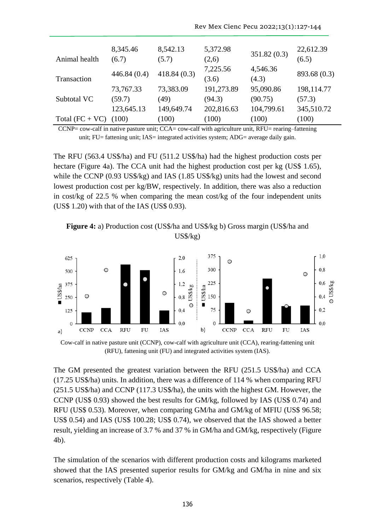| Animal health     | 8,345.46<br>(6.7) | 8,542.13<br>(5.7) | 5,372.98<br>(2,6) | 351.82(0.3)       | 22,612.39<br>(6.5) |
|-------------------|-------------------|-------------------|-------------------|-------------------|--------------------|
| Transaction       | 446.84(0.4)       | 418.84(0.3)       | 7,225.56<br>(3.6) | 4,546.36<br>(4.3) | 893.68 (0.3)       |
|                   | 73,767.33         | 73,383.09         | 191,273.89        | 95,090.86         | 198,114.77         |
| Subtotal VC       | (59.7)            | (49)              | (94.3)            | (90.75)           | (57.3)             |
|                   | 123,645.13        | 149,649.74        | 202,816.63        | 104,799.61        | 345,510.72         |
| Total $(FC + VC)$ | (100)             | (100)             | (100)             | (100)             | (100)              |

 $CCNP = \text{cow-calf}$  in native pasture unit;  $CCA = \text{cow-calf}$  with agriculture unit,  $RFU = \text{rearing-fattening}$ unit; FU= fattening unit; IAS= integrated activities system; ADG= average daily gain.

The RFU (563.4 US\$/ha) and FU (511.2 US\$/ha) had the highest production costs per hectare (Figure 4a). The CCA unit had the highest production cost per kg (US\$ 1.65), while the CCNP (0.93 US\$/kg) and IAS (1.85 US\$/kg) units had the lowest and second lowest production cost per kg/BW, respectively. In addition, there was also a reduction in cost/kg of 22.5 % when comparing the mean cost/kg of the four independent units (US\$ 1.20) with that of the IAS (US\$ 0.93).

**Figure 4:** a) Production cost (US\$/ha and US\$/kg b) Gross margin (US\$/ha and US\$/kg)



Cow-calf in native pasture unit (CCNP), cow-calf with agriculture unit (CCA), rearing-fattening unit (RFU), fattening unit (FU) and integrated activities system (IAS).

The GM presented the greatest variation between the RFU (251.5 US\$/ha) and CCA (17.25 US\$/ha) units. In addition, there was a difference of 114 % when comparing RFU (251.5 US\$/ha) and CCNP (117.3 US\$/ha), the units with the highest GM. However, the CCNP (US\$ 0.93) showed the best results for GM/kg, followed by IAS (US\$ 0.74) and RFU (US\$ 0.53). Moreover, when comparing GM/ha and GM/kg of MFIU (US\$ 96.58; US\$ 0.54) and IAS (US\$ 100.28; US\$ 0.74), we observed that the IAS showed a better result, yielding an increase of 3.7 % and 37 % in GM/ha and GM/kg, respectively (Figure 4b).

The simulation of the scenarios with different production costs and kilograms marketed showed that the IAS presented superior results for GM/kg and GM/ha in nine and six scenarios, respectively (Table 4).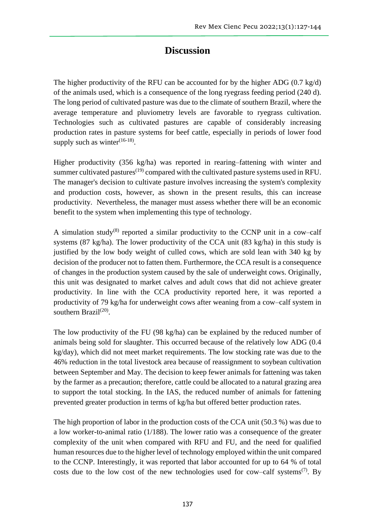## **Discussion**

The higher productivity of the RFU can be accounted for by the higher ADG  $(0.7 \text{ kg/d})$ of the animals used, which is a consequence of the long ryegrass feeding period (240 d). The long period of cultivated pasture was due to the climate of southern Brazil, where the average temperature and pluviometry levels are favorable to ryegrass cultivation. Technologies such as cultivated pastures are capable of considerably increasing production rates in pasture systems for beef cattle, especially in periods of lower food supply such as winter $(16-18)$ .

Higher productivity (356 kg/ha) was reported in rearing–fattening with winter and summer cultivated pastures<sup> $(19)$ </sup> compared with the cultivated pasture systems used in RFU. The manager's decision to cultivate pasture involves increasing the system's complexity and production costs, however, as shown in the present results, this can increase productivity. Nevertheless, the manager must assess whether there will be an economic benefit to the system when implementing this type of technology.

A simulation study<sup>(8)</sup> reported a similar productivity to the CCNP unit in a cow–calf systems (87 kg/ha). The lower productivity of the CCA unit (83 kg/ha) in this study is justified by the low body weight of culled cows, which are sold lean with 340 kg by decision of the producer not to fatten them. Furthermore, the CCA result is a consequence of changes in the production system caused by the sale of underweight cows. Originally, this unit was designated to market calves and adult cows that did not achieve greater productivity. In line with the CCA productivity reported here, it was reported a productivity of 79 kg/ha for underweight cows after weaning from a cow–calf system in southern Brazil<sup>(20)</sup>.

The low productivity of the FU (98 kg/ha) can be explained by the reduced number of animals being sold for slaughter. This occurred because of the relatively low ADG (0.4 kg/day), which did not meet market requirements. The low stocking rate was due to the 46% reduction in the total livestock area because of reassignment to soybean cultivation between September and May. The decision to keep fewer animals for fattening was taken by the farmer as a precaution; therefore, cattle could be allocated to a natural grazing area to support the total stocking. In the IAS, the reduced number of animals for fattening prevented greater production in terms of kg/ha but offered better production rates.

The high proportion of labor in the production costs of the CCA unit (50.3 %) was due to a low worker-to-animal ratio (1/188). The lower ratio was a consequence of the greater complexity of the unit when compared with RFU and FU, and the need for qualified human resources due to the higher level of technology employed within the unit compared to the CCNP. Interestingly, it was reported that labor accounted for up to 64 % of total costs due to the low cost of the new technologies used for cow–calf systems<sup>(7)</sup>. By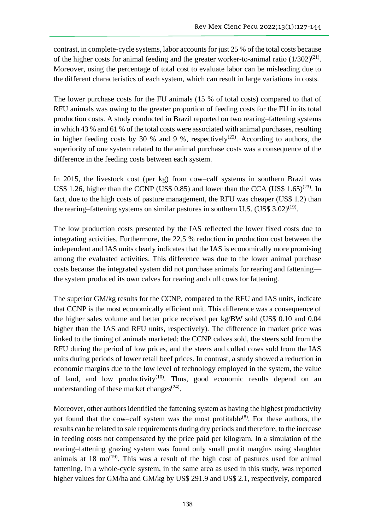contrast, in complete-cycle systems, labor accounts for just 25 % of the total costs because of the higher costs for animal feeding and the greater worker-to-animal ratio  $(1/302)^{(21)}$ . Moreover, using the percentage of total cost to evaluate labor can be misleading due to the different characteristics of each system, which can result in large variations in costs.

The lower purchase costs for the FU animals (15 % of total costs) compared to that of RFU animals was owing to the greater proportion of feeding costs for the FU in its total production costs. A study conducted in Brazil reported on two rearing–fattening systems in which 43 % and 61 % of the total costs were associated with animal purchases, resulting in higher feeding costs by 30 % and 9 %, respectively<sup>(22)</sup>. According to authors, the superiority of one system related to the animal purchase costs was a consequence of the difference in the feeding costs between each system.

In 2015, the livestock cost (per kg) from cow–calf systems in southern Brazil was US\$ 1.26, higher than the CCNP (US\$ 0.85) and lower than the CCA (US\$ 1.65)<sup>(23)</sup>. In fact, due to the high costs of pasture management, the RFU was cheaper (US\$ 1.2) than the rearing–fattening systems on similar pastures in southern U.S.  $(US$ 3.02)^{(19)}$ .

The low production costs presented by the IAS reflected the lower fixed costs due to integrating activities. Furthermore, the 22.5 % reduction in production cost between the independent and IAS units clearly indicates that the IAS is economically more promising among the evaluated activities. This difference was due to the lower animal purchase costs because the integrated system did not purchase animals for rearing and fattening the system produced its own calves for rearing and cull cows for fattening.

The superior GM/kg results for the CCNP, compared to the RFU and IAS units, indicate that CCNP is the most economically efficient unit. This difference was a consequence of the higher sales volume and better price received per kg/BW sold (US\$ 0.10 and 0.04 higher than the IAS and RFU units, respectively). The difference in market price was linked to the timing of animals marketed: the CCNP calves sold, the steers sold from the RFU during the period of low prices, and the steers and culled cows sold from the IAS units during periods of lower retail beef prices. In contrast, a study showed a reduction in economic margins due to the low level of technology employed in the system, the value of land, and low productivity<sup>(10)</sup>. Thus, good economic results depend on an understanding of these market changes $(24)$ .

Moreover, other authors identified the fattening system as having the highest productivity yet found that the cow–calf system was the most profitable<sup> $(8)$ </sup>. For these authors, the results can be related to sale requirements during dry periods and therefore, to the increase in feeding costs not compensated by the price paid per kilogram. In a simulation of the rearing–fattening grazing system was found only small profit margins using slaughter animals at  $18 \text{ mo}^{(19)}$ . This was a result of the high cost of pastures used for animal fattening. In a whole-cycle system, in the same area as used in this study, was reported higher values for GM/ha and GM/kg by US\$ 291.9 and US\$ 2.1, respectively, compared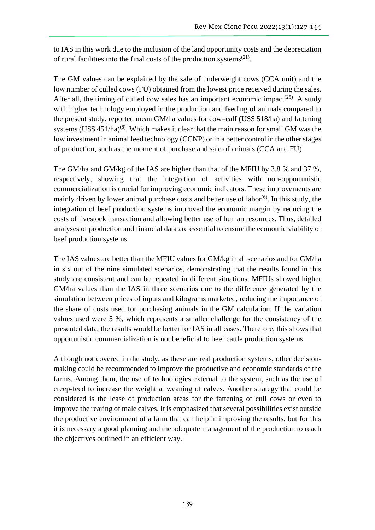to IAS in this work due to the inclusion of the land opportunity costs and the depreciation of rural facilities into the final costs of the production systems $^{(21)}$ .

The GM values can be explained by the sale of underweight cows (CCA unit) and the low number of culled cows (FU) obtained from the lowest price received during the sales. After all, the timing of culled cow sales has an important economic impact<sup>(25)</sup>. A study with higher technology employed in the production and feeding of animals compared to the present study, reported mean GM/ha values for cow–calf (US\$ 518/ha) and fattening systems (US\$  $451/ha$ )<sup>(8)</sup>. Which makes it clear that the main reason for small GM was the low investment in animal feed technology (CCNP) or in a better control in the other stages of production, such as the moment of purchase and sale of animals (CCA and FU).

The GM/ha and GM/kg of the IAS are higher than that of the MFIU by 3.8 % and 37 %, respectively, showing that the integration of activities with non-opportunistic commercialization is crucial for improving economic indicators. These improvements are mainly driven by lower animal purchase costs and better use of labor<sup>(6)</sup>. In this study, the integration of beef production systems improved the economic margin by reducing the costs of livestock transaction and allowing better use of human resources. Thus, detailed analyses of production and financial data are essential to ensure the economic viability of beef production systems.

The IAS values are better than the MFIU values for GM/kg in all scenarios and for GM/ha in six out of the nine simulated scenarios, demonstrating that the results found in this study are consistent and can be repeated in different situations. MFIUs showed higher GM/ha values than the IAS in three scenarios due to the difference generated by the simulation between prices of inputs and kilograms marketed, reducing the importance of the share of costs used for purchasing animals in the GM calculation. If the variation values used were 5 %, which represents a smaller challenge for the consistency of the presented data, the results would be better for IAS in all cases. Therefore, this shows that opportunistic commercialization is not beneficial to beef cattle production systems.

Although not covered in the study, as these are real production systems, other decisionmaking could be recommended to improve the productive and economic standards of the farms. Among them, the use of technologies external to the system, such as the use of creep-feed to increase the weight at weaning of calves. Another strategy that could be considered is the lease of production areas for the fattening of cull cows or even to improve the rearing of male calves. It is emphasized that several possibilities exist outside the productive environment of a farm that can help in improving the results, but for this it is necessary a good planning and the adequate management of the production to reach the objectives outlined in an efficient way.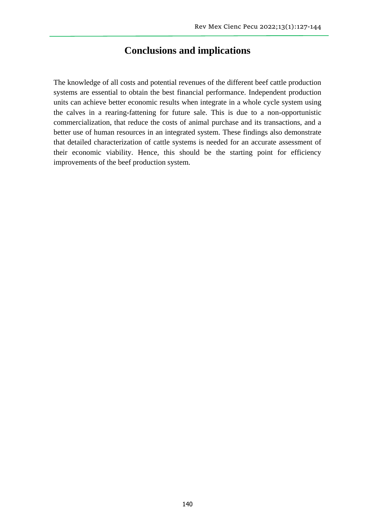### **Conclusions and implications**

The knowledge of all costs and potential revenues of the different beef cattle production systems are essential to obtain the best financial performance. Independent production units can achieve better economic results when integrate in a whole cycle system using the calves in a rearing-fattening for future sale. This is due to a non-opportunistic commercialization, that reduce the costs of animal purchase and its transactions, and a better use of human resources in an integrated system. These findings also demonstrate that detailed characterization of cattle systems is needed for an accurate assessment of their economic viability. Hence, this should be the starting point for efficiency improvements of the beef production system.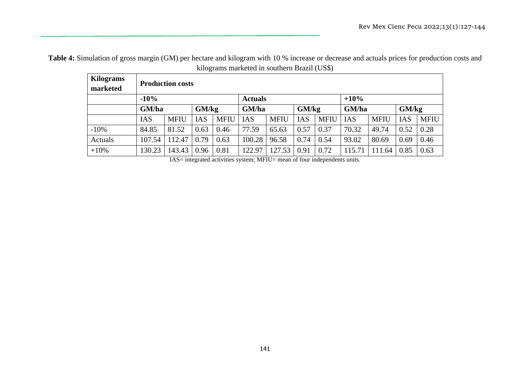**Table 4:** Simulation of gross margin (GM) per hectare and kilogram with 10 % increase or decrease and actuals prices for production costs and kilograms marketed in southern Brazil (US\$)

| <b>Kilograms</b><br>marketed | <b>Production costs</b>            |             |            |             |                |             |            |             |            |             |            |             |
|------------------------------|------------------------------------|-------------|------------|-------------|----------------|-------------|------------|-------------|------------|-------------|------------|-------------|
|                              | $-10%$<br>$+10%$<br><b>Actuals</b> |             |            |             |                |             |            |             |            |             |            |             |
|                              | GM/ha<br>GM/kg                     |             |            |             | GM/kg<br>GM/ha |             |            |             | GM/ha      |             | GM/kg      |             |
|                              | <b>IAS</b>                         | <b>MFIU</b> | <b>IAS</b> | <b>MFIU</b> | <b>IAS</b>     | <b>MFIU</b> | <b>IAS</b> | <b>MFIU</b> | <b>IAS</b> | <b>MFIU</b> | <b>IAS</b> | <b>MFIU</b> |
| $-10%$                       | 84.85                              | 81.52       | 0.63       | 0.46        | 77.59          | 65.63       | 0.57       | 0.37        | 70.32      | 49.74       | 0.52       | 0.28        |
| Actuals                      | 107.54                             | 112.47      | 0.79       | 0.63        | 100.28         | 96.58       | 0.74       | 0.54        | 93.02      | 80.69       | 0.69       | 0.46        |
| $+10%$                       | 130.23                             | 143.43      | 0.96       | 0.81        | 122.97         | 127.53      | 0.91       | 0.72        | 15.71      | 111.64      | 0.85       | 0.63        |

IAS= integrated activities system; MFIU= mean of four independents units.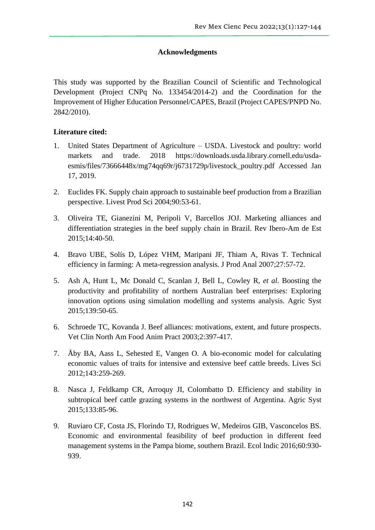#### **Acknowledgments**

This study was supported by the Brazilian Council of Scientific and Technological Development (Project CNPq No. 133454/2014-2) and the Coordination for the Improvement of Higher Education Personnel/CAPES, Brazil (Project CAPES/PNPD No. 2842/2010).

### **Literature cited:**

- 1. United States Department of Agriculture USDA. Livestock and poultry: world markets and trade. 2018 https://downloads.usda.library.cornell.edu/usdaesmis/files/73666448x/mg74qq69r/j6731729p/livestock\_poultry.pdf Accessed Jan 17, 2019.
- 2. Euclides FK. Supply chain approach to sustainable beef production from a Brazilian perspective. Livest Prod Sci 2004;90:53-61.
- 3. Oliveira TE, Gianezini M, Peripoli V, Barcellos JOJ. Marketing alliances and differentiation strategies in the beef supply chain in Brazil. Rev Ibero-Am de Est 2015;14:40-50.
- 4. Bravo UBE, Solís D, López VHM, Maripani JF, Thiam A, Rivas T. Technical efficiency in farming: A meta-regression analysis. J Prod Anal 2007;27:57-72.
- 5. Ash A, Hunt L, Mc Donald C, Scanlan J, Bell L, Cowley R, *et al*. Boosting the productivity and profitability of northern Australian beef enterprises: Exploring innovation options using simulation modelling and systems analysis. Agric Syst 2015;139:50-65.
- 6. Schroede TC, Kovanda J. Beef alliances: motivations, extent, and future prospects. Vet Clin North Am Food Anim Pract 2003;2:397-417.
- 7. Åby BA, Aass L, Sehested E, Vangen O. A bio-economic model for calculating economic values of traits for intensive and extensive beef cattle breeds. Lives Sci 2012;143:259-269.
- 8. Nasca J, Feldkamp CR, Arroquy JI, Colombatto D. Efficiency and stability in subtropical beef cattle grazing systems in the northwest of Argentina. Agric Syst 2015;133:85-96.
- 9. Ruviaro CF, Costa JS, Florindo TJ, Rodrigues W, Medeiros GIB, Vasconcelos BS. Economic and environmental feasibility of beef production in different feed management systems in the Pampa biome, southern Brazil. Ecol Indic 2016;60:930- 939.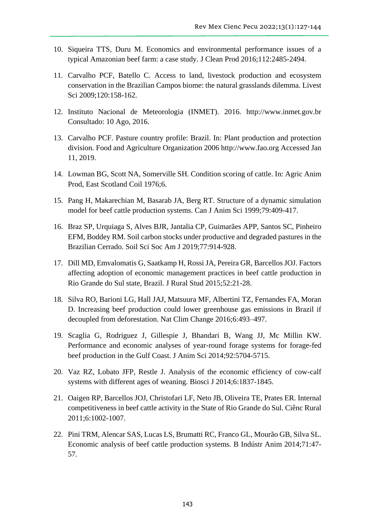- 10. Siqueira TTS, Duru M. Economics and environmental performance issues of a typical Amazonian beef farm: a case study. J Clean Prod 2016;112:2485-2494.
- 11. Carvalho PCF, Batello C. Access to land, livestock production and ecosystem conservation in the Brazilian Campos biome: the natural grasslands dilemma. Livest Sci 2009;120:158-162.
- 12. Instituto Nacional de Meteorologia (INMET). 2016. http://www.inmet.gov.br Consultado: 10 Ago, 2016.
- 13. Carvalho PCF. Pasture country profile: Brazil. In: Plant production and protection division. Food and Agriculture Organization 2006 http://www.fao.org Accessed Jan 11, 2019.
- 14. Lowman BG, Scott NA, Somerville SH. Condition scoring of cattle. In: Agric Anim Prod, East Scotland Coil 1976;6.
- 15. Pang H, Makarechian M, Basarab JA, Berg RT. Structure of a dynamic simulation model for beef cattle production systems. Can J Anim Sci 1999;79:409-417.
- 16. Braz SP, Urquiaga S, Alves BJR, Jantalia CP, Guimarães APP, Santos SC, Pinheiro EFM, Boddey RM. Soil carbon stocks under productive and degraded pastures in the Brazilian Cerrado. Soil Sci Soc Am J 2019;77:914-928.
- 17. Dill MD, Emvalomatis G, Saatkamp H, Rossi JA, Pereira GR, Barcellos JOJ. Factors affecting adoption of economic management practices in beef cattle production in Rio Grande do Sul state, Brazil. J Rural Stud 2015;52:21-28.
- 18. Silva RO, Barioni LG, Hall JAJ, Matsuura MF, Albertini TZ, Fernandes FA, Moran D. Increasing beef production could lower greenhouse gas emissions in Brazil if decoupled from deforestation. Nat Clim Change 2016;6:493–497.
- 19. Scaglia G, Rodriguez J, Gillespie J, Bhandari B, Wang JJ, Mc Millin KW. Performance and economic analyses of year-round forage systems for forage-fed beef production in the Gulf Coast. J Anim Sci 2014;92:5704-5715.
- 20. Vaz RZ, Lobato JFP, Restle J. Analysis of the economic efficiency of cow-calf systems with different ages of weaning. Biosci J 2014;6:1837-1845.
- 21. Oaigen RP, Barcellos JOJ, Christofari LF, Neto JB, Oliveira TE, Prates ER. Internal competitiveness in beef cattle activity in the State of Rio Grande do Sul. Ciênc Rural 2011;6:1002-1007.
- 22. Pini TRM, Alencar SAS, Lucas LS, Brumatti RC, Franco GL, Mourão GB, Silva SL. Economic analysis of beef cattle production systems. B Indústr Anim 2014;71:47- 57.